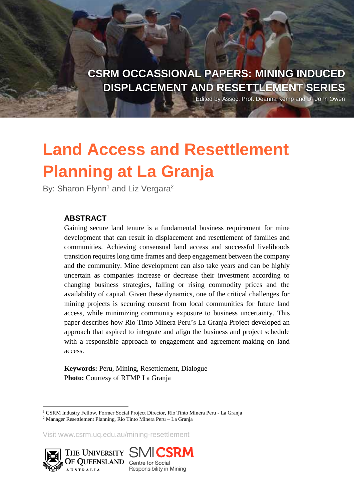**CSRM OCCASSIONAL PAPERS: MINING INDUCED DISPLACEMENT AND RESETTLEMENT SERIES**

Edited by Assoc. Prof. Deanna Kemp and Dr John Owen

# **Land Access and Resettlement Planning at La Granja**

By: Sharon Flynn<sup>1</sup> and Liz Vergara<sup>2</sup>

#### **ABSTRACT**

Gaining secure land tenure is a fundamental business requirement for mine development that can result in displacement and resettlement of families and communities. Achieving consensual land access and successful livelihoods transition requires long time frames and deep engagement between the company and the community. Mine development can also take years and can be highly uncertain as companies increase or decrease their investment according to changing business strategies, falling or rising commodity prices and the availability of capital. Given these dynamics, one of the critical challenges for mining projects is securing consent from local communities for future land access, while minimizing community exposure to business uncertainty. This paper describes how Rio Tinto Minera Peru's La Granja Project developed an approach that aspired to integrate and align the business and project schedule with a responsible approach to engagement and agreement-making on land access.

**Keywords:** Peru, Mining, Resettlement, Dialogue P**hoto:** Courtesy of RTMP La Granja

Visit www.csrm.uq.edu.au/mining-resettlement





<sup>&</sup>lt;sup>1</sup> CSRM Industry Fellow, Former Social Project Director, Rio Tinto Minera Peru - La Granja

<sup>2</sup> Manager Resettlement Planning, Rio Tinto Minera Peru – La Granja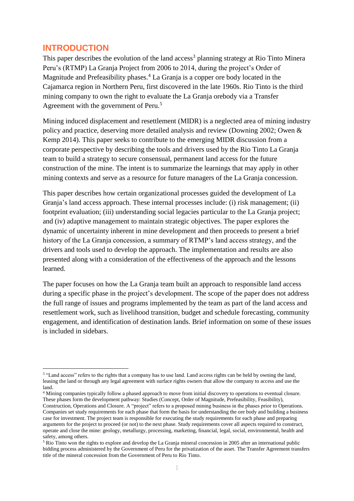#### **INTRODUCTION**

1

This paper describes the evolution of the land access<sup>3</sup> planning strategy at Rio Tinto Minera Peru's (RTMP) La Granja Project from 2006 to 2014, during the project's Order of Magnitude and Prefeasibility phases.<sup>4</sup> La Granja is a copper ore body located in the Cajamarca region in Northern Peru, first discovered in the late 1960s. Rio Tinto is the third mining company to own the right to evaluate the La Granja orebody via a Transfer Agreement with the government of Peru.<sup>5</sup>

Mining induced displacement and resettlement (MIDR) is a neglected area of mining industry policy and practice, deserving more detailed analysis and review (Downing 2002; Owen & Kemp 2014). This paper seeks to contribute to the emerging MIDR discussion from a corporate perspective by describing the tools and drivers used by the Rio Tinto La Granja team to build a strategy to secure consensual, permanent land access for the future construction of the mine. The intent is to summarize the learnings that may apply in other mining contexts and serve as a resource for future managers of the La Granja concession.

This paper describes how certain organizational processes guided the development of La Granja's land access approach. These internal processes include: (i) risk management; (ii) footprint evaluation; (iii) understanding social legacies particular to the La Granja project; and (iv) adaptive management to maintain strategic objectives. The paper explores the dynamic of uncertainty inherent in mine development and then proceeds to present a brief history of the La Granja concession, a summary of RTMP's land access strategy, and the drivers and tools used to develop the approach. The implementation and results are also presented along with a consideration of the effectiveness of the approach and the lessons learned.

The paper focuses on how the La Granja team built an approach to responsible land access during a specific phase in the project's development. The scope of the paper does not address the full range of issues and programs implemented by the team as part of the land access and resettlement work, such as livelihood transition, budget and schedule forecasting, community engagement, and identification of destination lands. Brief information on some of these issues is included in sidebars.

<sup>&</sup>lt;sup>3</sup> "Land access" refers to the rights that a company has to use land. Land access rights can be held by owning the land, leasing the land or through any legal agreement with surface rights owners that allow the company to access and use the land.

<sup>4</sup> Mining companies typically follow a phased approach to move from initial discovery to operations to eventual closure. These phases form the development pathway: Studies (Concept, Order of Magnitude, Prefeasibility, Feasibility), Construction, Operations and Closure. A "project" refers to a proposed mining business in the phases prior to Operations. Companies set study requirements for each phase that form the basis for understanding the ore body and building a business case for investment. The project team is responsible for executing the study requirements for each phase and preparing arguments for the project to proceed (or not) to the next phase. Study requirements cover all aspects required to construct, operate and close the mine: geology, metallurgy, processing, marketing, financial, legal, social, environmental, health and safety, among others.

<sup>&</sup>lt;sup>5</sup> Rio Tinto won the rights to explore and develop the La Granja mineral concession in 2005 after an international public bidding process administered by the Government of Peru for the privatization of the asset. The Transfer Agreement transfers title of the mineral concession from the Government of Peru to Rio Tinto.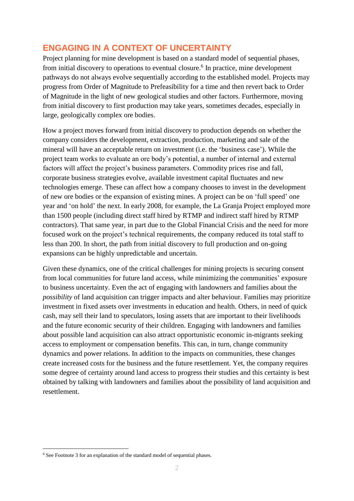## **ENGAGING IN A CONTEXT OF UNCERTAINTY**

Project planning for mine development is based on a standard model of sequential phases, from initial discovery to operations to eventual closure.<sup>6</sup> In practice, mine development pathways do not always evolve sequentially according to the established model. Projects may progress from Order of Magnitude to Prefeasibility for a time and then revert back to Order of Magnitude in the light of new geological studies and other factors. Furthermore, moving from initial discovery to first production may take years, sometimes decades, especially in large, geologically complex ore bodies.

How a project moves forward from initial discovery to production depends on whether the company considers the development, extraction, production, marketing and sale of the mineral will have an acceptable return on investment (i.e. the 'business case'). While the project team works to evaluate an ore body's potential, a number of internal and external factors will affect the project's business parameters. Commodity prices rise and fall, corporate business strategies evolve, available investment capital fluctuates and new technologies emerge. These can affect how a company chooses to invest in the development of new ore bodies or the expansion of existing mines. A project can be on 'full speed' one year and 'on hold' the next. In early 2008, for example, the La Granja Project employed more than 1500 people (including direct staff hired by RTMP and indirect staff hired by RTMP contractors). That same year, in part due to the Global Financial Crisis and the need for more focused work on the project's technical requirements, the company reduced its total staff to less than 200. In short, the path from initial discovery to full production and on-going expansions can be highly unpredictable and uncertain.

Given these dynamics, one of the critical challenges for mining projects is securing consent from local communities for future land access, while minimizing the communities' exposure to business uncertainty. Even the act of engaging with landowners and families about the *possibility* of land acquisition can trigger impacts and alter behaviour. Families may prioritize investment in fixed assets over investments in education and health. Others, in need of quick cash, may sell their land to speculators, losing assets that are important to their livelihoods and the future economic security of their children. Engaging with landowners and families about possible land acquisition can also attract opportunistic economic in-migrants seeking access to employment or compensation benefits. This can, in turn, change community dynamics and power relations. In addition to the impacts on communities, these changes create increased costs for the business and the future resettlement. Yet, the company requires some degree of certainty around land access to progress their studies and this certainty is best obtained by talking with landowners and families about the possibility of land acquisition and resettlement.

<sup>6</sup> See Footnote 3 for an explanation of the standard model of sequential phases.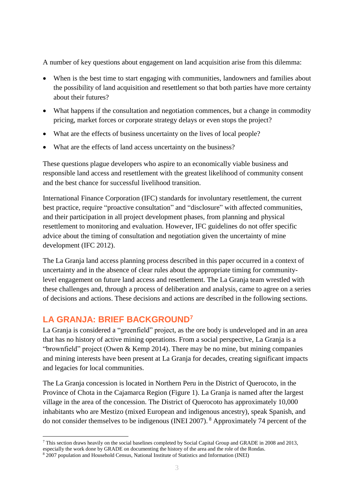A number of key questions about engagement on land acquisition arise from this dilemma:

- When is the best time to start engaging with communities, landowners and families about the possibility of land acquisition and resettlement so that both parties have more certainty about their futures?
- What happens if the consultation and negotiation commences, but a change in commodity pricing, market forces or corporate strategy delays or even stops the project?
- What are the effects of business uncertainty on the lives of local people?
- What are the effects of land access uncertainty on the business?

These questions plague developers who aspire to an economically viable business and responsible land access and resettlement with the greatest likelihood of community consent and the best chance for successful livelihood transition.

International Finance Corporation (IFC) standards for involuntary resettlement, the current best practice, require "proactive consultation" and "disclosure" with affected communities, and their participation in all project development phases, from planning and physical resettlement to monitoring and evaluation. However, IFC guidelines do not offer specific advice about the timing of consultation and negotiation given the uncertainty of mine development (IFC 2012).

The La Granja land access planning process described in this paper occurred in a context of uncertainty and in the absence of clear rules about the appropriate timing for communitylevel engagement on future land access and resettlement. The La Granja team wrestled with these challenges and, through a process of deliberation and analysis, came to agree on a series of decisions and actions. These decisions and actions are described in the following sections.

### **LA GRANJA: BRIEF BACKGROUND<sup>7</sup>**

1

La Granja is considered a "greenfield" project, as the ore body is undeveloped and in an area that has no history of active mining operations. From a social perspective, La Granja is a "brownfield" project (Owen & Kemp 2014). There may be no mine, but mining companies and mining interests have been present at La Granja for decades, creating significant impacts and legacies for local communities.

The La Granja concession is located in Northern Peru in the District of Querocoto, in the Province of Chota in the Cajamarca Region (Figure 1). La Granja is named after the largest village in the area of the concession. The District of Querocoto has approximately 10,000 inhabitants who are Mestizo (mixed European and indigenous ancestry), speak Spanish, and do not consider themselves to be indigenous (INEI 2007). <sup>8</sup> Approximately 74 percent of the

<sup>&</sup>lt;sup>7</sup> This section draws heavily on the social baselines completed by Social Capital Group and GRADE in 2008 and 2013,

especially the work done by GRADE on documenting the history of the area and the role of the Rondas.

<sup>8</sup> 2007 population and Household Census, National Institute of Statistics and Information (INEI)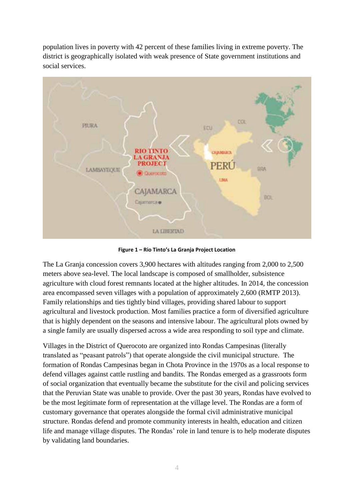population lives in poverty with 42 percent of these families living in extreme poverty. The district is geographically isolated with weak presence of State government institutions and social services.



**Figure 1 – Rio Tinto's La Granja Project Location**

The La Granja concession covers 3,900 hectares with altitudes ranging from 2,000 to 2,500 meters above sea-level. The local landscape is composed of smallholder, subsistence agriculture with cloud forest remnants located at the higher altitudes. In 2014, the concession area encompassed seven villages with a population of approximately 2,600 (RMTP 2013). Family relationships and ties tightly bind villages, providing shared labour to support agricultural and livestock production. Most families practice a form of diversified agriculture that is highly dependent on the seasons and intensive labour. The agricultural plots owned by a single family are usually dispersed across a wide area responding to soil type and climate.

Villages in the District of Querocoto are organized into Rondas Campesinas (literally translated as "peasant patrols") that operate alongside the civil municipal structure. The formation of Rondas Campesinas began in Chota Province in the 1970s as a local response to defend villages against cattle rustling and bandits. The Rondas emerged as a grassroots form of social organization that eventually became the substitute for the civil and policing services that the Peruvian State was unable to provide. Over the past 30 years, Rondas have evolved to be the most legitimate form of representation at the village level. The Rondas are a form of customary governance that operates alongside the formal civil administrative municipal structure. Rondas defend and promote community interests in health, education and citizen life and manage village disputes. The Rondas' role in land tenure is to help moderate disputes by validating land boundaries.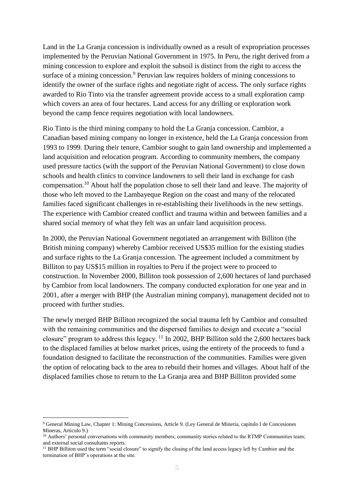Land in the La Granja concession is individually owned as a result of expropriation processes implemented by the Peruvian National Government in 1975. In Peru, the right derived from a mining concession to explore and exploit the subsoil is distinct from the right to access the surface of a mining concession.<sup>9</sup> Peruvian law requires holders of mining concessions to identify the owner of the surface rights and negotiate right of access. The only surface rights awarded to Rio Tinto via the transfer agreement provide access to a small exploration camp which covers an area of four hectares. Land access for any drilling or exploration work beyond the camp fence requires negotiation with local landowners.

Rio Tinto is the third mining company to hold the La Granja concession. Cambior, a Canadian based mining company no longer in existence, held the La Granja concession from 1993 to 1999. During their tenure, Cambior sought to gain land ownership and implemented a land acquisition and relocation program. According to community members, the company used pressure tactics (with the support of the Peruvian National Government) to close down schools and health clinics to convince landowners to sell their land in exchange for cash compensation.<sup>10</sup> About half the population chose to sell their land and leave. The majority of those who left moved to the Lambayeque Region on the coast and many of the relocated families faced significant challenges in re-establishing their livelihoods in the new settings. The experience with Cambior created conflict and trauma within and between families and a shared social memory of what they felt was an unfair land acquisition process.

In 2000, the Peruvian National Government negotiated an arrangement with Billiton (the British mining company) whereby Cambior received US\$35 million for the existing studies and surface rights to the La Granja concession. The agreement included a commitment by Billiton to pay US\$15 million in royalties to Peru if the project were to proceed to construction. In November 2000, Billiton took possession of 2,600 hectares of land purchased by Cambior from local landowners. The company conducted exploration for one year and in 2001, after a merger with BHP (the Australian mining company), management decided not to proceed with further studies.

The newly merged BHP Billiton recognized the social trauma left by Cambior and consulted with the remaining communities and the dispersed families to design and execute a "social closure" program to address this legacy.  $^{11}$  In 2002, BHP Billiton sold the 2,600 hectares back to the displaced families at below market prices, using the entirety of the proceeds to fund a foundation designed to facilitate the reconstruction of the communities. Families were given the option of relocating back to the area to rebuild their homes and villages. About half of the displaced families chose to return to the La Granja area and BHP Billiton provided some

<sup>9</sup> General Mining Law, Chapter 1: Mining Concessions, Article 9. (Ley General de Minería, capítulo I de Concesiones Mineras, Articulo 9.)

<sup>&</sup>lt;sup>10</sup> Authors' personal conversations with community members; community stories related to the RTMP Communities team; and external social consultants reports.

<sup>&</sup>lt;sup>11</sup> BHP Billiton used the term "social closure" to signify the closing of the land access legacy left by Cambior and the termination of BHP's operations at the site.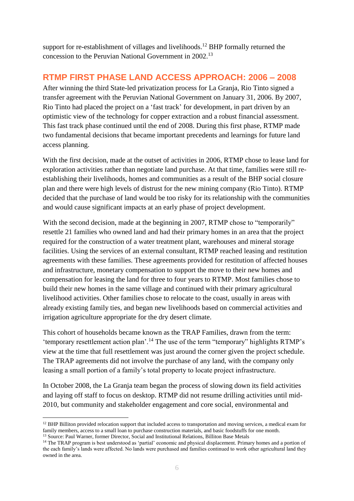support for re-establishment of villages and livelihoods.<sup>12</sup> BHP formally returned the concession to the Peruvian National Government in 2002.<sup>13</sup>

### **RTMP FIRST PHASE LAND ACCESS APPROACH: 2006 – 2008**

After winning the third State-led privatization process for La Granja, Rio Tinto signed a transfer agreement with the Peruvian National Government on January 31, 2006. By 2007, Rio Tinto had placed the project on a 'fast track' for development, in part driven by an optimistic view of the technology for copper extraction and a robust financial assessment. This fast track phase continued until the end of 2008. During this first phase, RTMP made two fundamental decisions that became important precedents and learnings for future land access planning.

With the first decision, made at the outset of activities in 2006, RTMP chose to lease land for exploration activities rather than negotiate land purchase. At that time, families were still reestablishing their livelihoods, homes and communities as a result of the BHP social closure plan and there were high levels of distrust for the new mining company (Rio Tinto). RTMP decided that the purchase of land would be too risky for its relationship with the communities and would cause significant impacts at an early phase of project development.

With the second decision, made at the beginning in 2007, RTMP chose to "temporarily" resettle 21 families who owned land and had their primary homes in an area that the project required for the construction of a water treatment plant, warehouses and mineral storage facilities. Using the services of an external consultant, RTMP reached leasing and restitution agreements with these families. These agreements provided for restitution of affected houses and infrastructure, monetary compensation to support the move to their new homes and compensation for leasing the land for three to four years to RTMP. Most families chose to build their new homes in the same village and continued with their primary agricultural livelihood activities. Other families chose to relocate to the coast, usually in areas with already existing family ties, and began new livelihoods based on commercial activities and irrigation agriculture appropriate for the dry desert climate.

This cohort of households became known as the TRAP Families, drawn from the term: 'temporary resettlement action plan'.<sup>14</sup> The use of the term "temporary" highlights RTMP's view at the time that full resettlement was just around the corner given the project schedule. The TRAP agreements did not involve the purchase of any land, with the company only leasing a small portion of a family's total property to locate project infrastructure.

In October 2008, the La Granja team began the process of slowing down its field activities and laying off staff to focus on desktop. RTMP did not resume drilling activities until mid-2010, but community and stakeholder engagement and core social, environmental and

<sup>&</sup>lt;sup>12</sup> BHP Billiton provided relocation support that included access to transportation and moving services, a medical exam for family members, access to a small loan to purchase construction materials, and basic foodstuffs for one month.

<sup>&</sup>lt;sup>13</sup> Source: Paul Warner, former Director, Social and Institutional Relations, Billiton Base Metals

<sup>&</sup>lt;sup>14</sup> The TRAP program is best understood as 'partial' economic and physical displacement. Primary homes and a portion of the each family's lands were affected. No lands were purchased and families continued to work other agricultural land they owned in the area.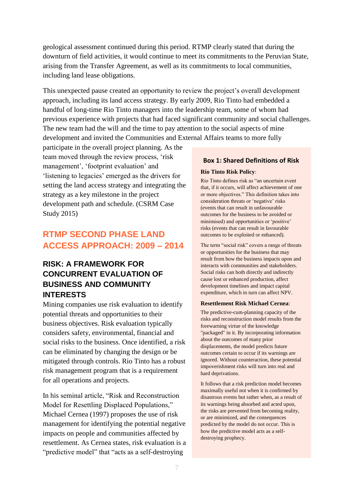geological assessment continued during this period. RTMP clearly stated that during the downturn of field activities, it would continue to meet its commitments to the Peruvian State, arising from the Transfer Agreement, as well as its commitments to local communities, including land lease obligations.

This unexpected pause created an opportunity to review the project's overall development approach, including its land access strategy. By early 2009, Rio Tinto had embedded a handful of long-time Rio Tinto managers into the leadership team, some of whom had previous experience with projects that had faced significant community and social challenges. The new team had the will and the time to pay attention to the social aspects of mine development and invited the Communities and External Affairs teams to more fully

participate in the overall project planning. As the team moved through the review process, 'risk management', 'footprint evaluation' and 'listening to legacies' emerged as the drivers for setting the land access strategy and integrating the strategy as a key milestone in the project development path and schedule. (CSRM Case Study 2015)

# **RTMP SECOND PHASE LAND ACCESS APPROACH: 2009 – 2014**

### **RISK: A FRAMEWORK FOR CONCURRENT EVALUATION OF BUSINESS AND COMMUNITY INTERESTS**

Mining companies use risk evaluation to identify potential threats and opportunities to their business objectives. Risk evaluation typically considers safety, environmental, financial and social risks to the business. Once identified, a risk can be eliminated by changing the design or be mitigated through controls. Rio Tinto has a robust risk management program that is a requirement for all operations and projects.

In his seminal article, "Risk and Reconstruction Model for Resettling Displaced Populations," Michael Cernea (1997) proposes the use of risk management for identifying the potential negative impacts on people and communities affected by resettlement. As Cernea states, risk evaluation is a "predictive model" that "acts as a self-destroying

#### **Box 1: Shared Definitions of Risk**

#### **Rio Tinto Risk Policy**:

Rio Tinto defines risk as "an uncertain event that, if it occurs, will affect achievement of one or more objectives." This definition takes into consideration threats or 'negative' risks (events that can result in unfavourable outcomes for the business to be avoided or minimised) and opportunities or 'positive' risks (events that can result in favourable outcomes to be exploited or enhanced).

The term "social risk" covers a range of threats or opportunities for the business that may result from how the business impacts upon and interacts with communities and stakeholders. Social risks can both directly and indirectly cause lost or enhanced production, affect development timelines and impact capital expenditure, which in turn can affect NPV.

#### **Resettlement Risk Michael Cernea**:

The predictive-cum-planning capacity of the risks and reconstruction model results from the forewarning virtue of the knowledge "packaged" in it. By incorporating information about the outcomes of many prior displacements, the model predicts future outcomes certain to occur if its warnings are ignored. Without counteraction, these potential impoverishment risks will turn into real and hard deprivations.

It follows that a risk prediction model becomes maximally useful not when it is confirmed by disastrous events but rather when, as a result of its warnings being absorbed and acted upon, the risks are prevented from becoming reality, or are minimized, and the consequences predicted by the model do not occur. This is how the predictive model acts as a selfdestroying prophecy.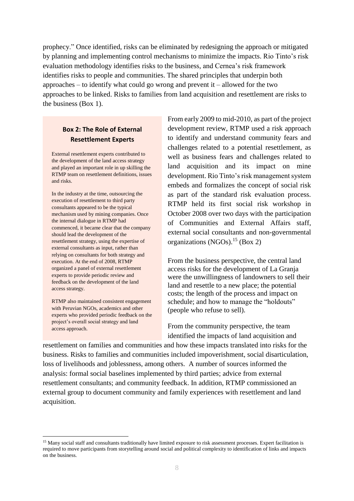prophecy." Once identified, risks can be eliminated by redesigning the approach or mitigated by planning and implementing control mechanisms to minimize the impacts. Rio Tinto's risk evaluation methodology identifies risks to the business, and Cernea's risk framework identifies risks to people and communities. The shared principles that underpin both approaches – to identify what could go wrong and prevent it – allowed for the two approaches to be linked. Risks to families from land acquisition and resettlement are risks to the business (Box 1).

#### **Box 2: The Role of External Resettlement Experts**

External resettlement experts contributed to the development of the land access strategy and played an important role in up skilling the RTMP team on resettlement definitions, issues and risks.

In the industry at the time, outsourcing the execution of resettlement to third party consultants appeared to be the typical mechanism used by mining companies. Once the internal dialogue in RTMP had commenced, it became clear that the company should lead the development of the resettlement strategy, using the expertise of external consultants as input, rather than relying on consultants for both strategy and execution. At the end of 2008, RTMP organized a panel of external resettlement experts to provide periodic review and feedback on the development of the land access strategy.

RTMP also maintained consistent engagement with Peruvian NGOs, academics and other experts who provided periodic feedback on the project's overall social strategy and land access approach.

1

From early 2009 to mid-2010, as part of the project development review, RTMP used a risk approach to identify and understand community fears and challenges related to a potential resettlement, as well as business fears and challenges related to land acquisition and its impact on mine development. Rio Tinto's risk management system embeds and formalizes the concept of social risk as part of the standard risk evaluation process. RTMP held its first social risk workshop in October 2008 over two days with the participation of Communities and External Affairs staff, external social consultants and non-governmental organizations (NGOs).<sup>15</sup> (Box 2)

From the business perspective, the central land access risks for the development of La Granja were the unwillingness of landowners to sell their land and resettle to a new place; the potential costs; the length of the process and impact on schedule; and how to manage the "holdouts" (people who refuse to sell).

From the community perspective, the team identified the impacts of land acquisition and

resettlement on families and communities and how these impacts translated into risks for the business. Risks to families and communities included impoverishment, social disarticulation, loss of livelihoods and joblessness, among others. A number of sources informed the analysis: formal social baselines implemented by third parties; advice from external resettlement consultants; and community feedback. In addition, RTMP commissioned an external group to document community and family experiences with resettlement and land acquisition.

<sup>&</sup>lt;sup>15</sup> Many social staff and consultants traditionally have limited exposure to risk assessment processes. Expert facilitation is required to move participants from storytelling around social and political complexity to identification of links and impacts on the business.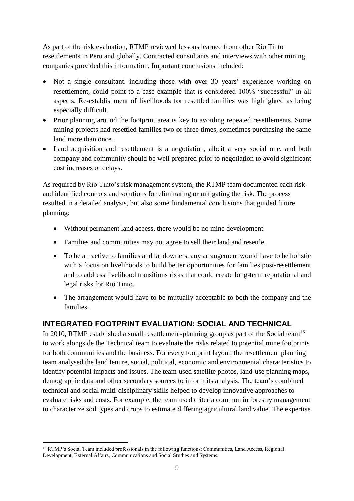As part of the risk evaluation, RTMP reviewed lessons learned from other Rio Tinto resettlements in Peru and globally. Contracted consultants and interviews with other mining companies provided this information. Important conclusions included:

- Not a single consultant, including those with over 30 years' experience working on resettlement, could point to a case example that is considered 100% "successful" in all aspects. Re-establishment of livelihoods for resettled families was highlighted as being especially difficult.
- Prior planning around the footprint area is key to avoiding repeated resettlements. Some mining projects had resettled families two or three times, sometimes purchasing the same land more than once.
- Land acquisition and resettlement is a negotiation, albeit a very social one, and both company and community should be well prepared prior to negotiation to avoid significant cost increases or delays.

As required by Rio Tinto's risk management system, the RTMP team documented each risk and identified controls and solutions for eliminating or mitigating the risk. The process resulted in a detailed analysis, but also some fundamental conclusions that guided future planning:

- Without permanent land access, there would be no mine development.
- Families and communities may not agree to sell their land and resettle.
- To be attractive to families and landowners, any arrangement would have to be holistic with a focus on livelihoods to build better opportunities for families post-resettlement and to address livelihood transitions risks that could create long-term reputational and legal risks for Rio Tinto.
- The arrangement would have to be mutually acceptable to both the company and the families.

### **INTEGRATED FOOTPRINT EVALUATION: SOCIAL AND TECHNICAL**

In 2010, RTMP established a small resettlement-planning group as part of the Social team<sup>16</sup> to work alongside the Technical team to evaluate the risks related to potential mine footprints for both communities and the business. For every footprint layout, the resettlement planning team analysed the land tenure, social, political, economic and environmental characteristics to identify potential impacts and issues. The team used satellite photos, land-use planning maps, demographic data and other secondary sources to inform its analysis. The team's combined technical and social multi-disciplinary skills helped to develop innovative approaches to evaluate risks and costs. For example, the team used criteria common in forestry management to characterize soil types and crops to estimate differing agricultural land value. The expertise

<sup>&</sup>lt;u>.</u> <sup>16</sup> RTMP's Social Team included professionals in the following functions: Communities, Land Access, Regional Development, External Affairs, Communications and Social Studies and Systems.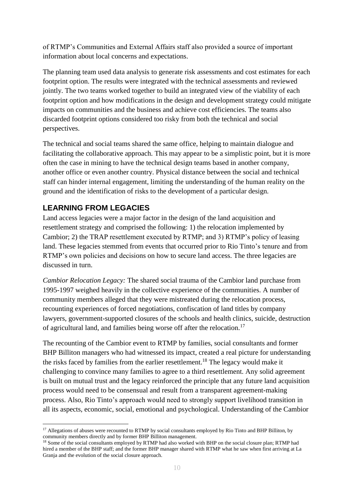of RTMP's Communities and External Affairs staff also provided a source of important information about local concerns and expectations.

The planning team used data analysis to generate risk assessments and cost estimates for each footprint option. The results were integrated with the technical assessments and reviewed jointly. The two teams worked together to build an integrated view of the viability of each footprint option and how modifications in the design and development strategy could mitigate impacts on communities and the business and achieve cost efficiencies. The teams also discarded footprint options considered too risky from both the technical and social perspectives.

The technical and social teams shared the same office, helping to maintain dialogue and facilitating the collaborative approach. This may appear to be a simplistic point, but it is more often the case in mining to have the technical design teams based in another company, another office or even another country. Physical distance between the social and technical staff can hinder internal engagement, limiting the understanding of the human reality on the ground and the identification of risks to the development of a particular design.

### **LEARNING FROM LEGACIES**

Land access legacies were a major factor in the design of the land acquisition and resettlement strategy and comprised the following: 1) the relocation implemented by Cambior; 2) the TRAP resettlement executed by RTMP; and 3) RTMP's policy of leasing land. These legacies stemmed from events that occurred prior to Rio Tinto's tenure and from RTMP's own policies and decisions on how to secure land access. The three legacies are discussed in turn.

*Cambior Relocation Legacy:* The shared social trauma of the Cambior land purchase from 1995-1997 weighed heavily in the collective experience of the communities. A number of community members alleged that they were mistreated during the relocation process, recounting experiences of forced negotiations, confiscation of land titles by company lawyers, government-supported closures of the schools and health clinics, suicide, destruction of agricultural land, and families being worse off after the relocation.<sup>17</sup>

The recounting of the Cambior event to RTMP by families, social consultants and former BHP Billiton managers who had witnessed its impact, created a real picture for understanding the risks faced by families from the earlier resettlement.<sup>18</sup> The legacy would make it challenging to convince many families to agree to a third resettlement. Any solid agreement is built on mutual trust and the legacy reinforced the principle that any future land acquisition process would need to be consensual and result from a transparent agreement-making process. Also, Rio Tinto's approach would need to strongly support livelihood transition in all its aspects, economic, social, emotional and psychological. Understanding of the Cambior

<sup>1</sup> <sup>17</sup> Allegations of abuses were recounted to RTMP by social consultants employed by Rio Tinto and BHP Billiton, by community members directly and by former BHP Billiton management.

<sup>&</sup>lt;sup>18</sup> Some of the social consultants employed by RTMP had also worked with BHP on the social closure plan; RTMP had hired a member of the BHP staff; and the former BHP manager shared with RTMP what he saw when first arriving at La Granja and the evolution of the social closure approach.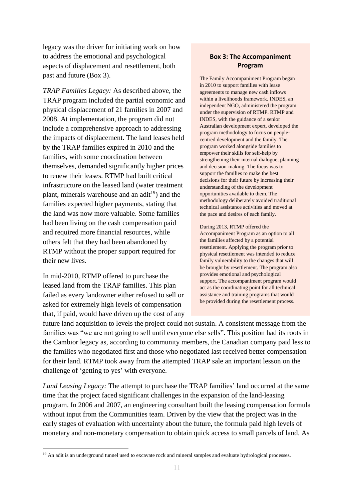legacy was the driver for initiating work on how to address the emotional and psychological aspects of displacement and resettlement, both past and future (Box 3).

*TRAP Families Legacy:* As described above, the TRAP program included the partial economic and physical displacement of 21 families in 2007 and 2008. At implementation, the program did not include a comprehensive approach to addressing the impacts of displacement. The land leases held by the TRAP families expired in 2010 and the families, with some coordination between themselves, demanded significantly higher prices to renew their leases. RTMP had built critical infrastructure on the leased land (water treatment plant, minerals warehouse and an adit<sup>19</sup>) and the families expected higher payments, stating that the land was now more valuable. Some families had been living on the cash compensation paid and required more financial resources, while others felt that they had been abandoned by RTMP without the proper support required for their new lives.

In mid-2010, RTMP offered to purchase the leased land from the TRAP families. This plan failed as every landowner either refused to sell or asked for extremely high levels of compensation that, if paid, would have driven up the cost of any

1

#### **Box 3: The Accompaniment Program**

The Family Accompaniment Program began in 2010 to support families with lease agreements to manage new cash inflows within a livelihoods framework. INDES, an independent NGO, administered the program under the supervision of RTMP. RTMP and INDES, with the guidance of a senior Australian development expert, developed the program methodology to focus on peoplecentred development and the family. The program worked alongside families to empower their skills for self-help by strengthening their internal dialogue, planning and decision-making. The focus was to support the families to make the best decisions for their future by increasing their understanding of the development opportunities available to them. The methodology deliberately avoided traditional technical assistance activities and moved at the pace and desires of each family.

During 2013, RTMP offered the Accompaniment Program as an option to all the families affected by a potential resettlement. Applying the program prior to physical resettlement was intended to reduce family vulnerability to the changes that will be brought by resettlement. The program also provides emotional and psychological support. The accompaniment program would act as the coordinating point for all technical assistance and training programs that would be provided during the resettlement process.

future land acquisition to levels the project could not sustain. A consistent message from the families was "we are not going to sell until everyone else sells". This position had its roots in the Cambior legacy as, according to community members, the Canadian company paid less to the families who negotiated first and those who negotiated last received better compensation for their land. RTMP took away from the attempted TRAP sale an important lesson on the challenge of 'getting to yes' with everyone.

*Land Leasing Legacy:* The attempt to purchase the TRAP families' land occurred at the same time that the project faced significant challenges in the expansion of the land-leasing program. In 2006 and 2007, an engineering consultant built the leasing compensation formula without input from the Communities team. Driven by the view that the project was in the early stages of evaluation with uncertainty about the future, the formula paid high levels of monetary and non-monetary compensation to obtain quick access to small parcels of land. As

<sup>&</sup>lt;sup>19</sup> An adit is an underground tunnel used to excavate rock and mineral samples and evaluate hydrological processes.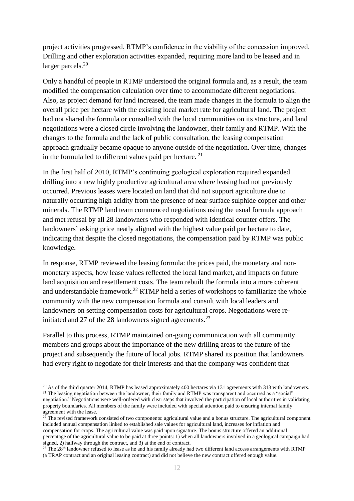project activities progressed, RTMP's confidence in the viability of the concession improved. Drilling and other exploration activities expanded, requiring more land to be leased and in larger parcels.<sup>20</sup>

Only a handful of people in RTMP understood the original formula and, as a result, the team modified the compensation calculation over time to accommodate different negotiations. Also, as project demand for land increased, the team made changes in the formula to align the overall price per hectare with the existing local market rate for agricultural land. The project had not shared the formula or consulted with the local communities on its structure, and land negotiations were a closed circle involving the landowner, their family and RTMP. With the changes to the formula and the lack of public consultation, the leasing compensation approach gradually became opaque to anyone outside of the negotiation. Over time, changes in the formula led to different values paid per hectare. <sup>21</sup>

In the first half of 2010, RTMP's continuing geological exploration required expanded drilling into a new highly productive agricultural area where leasing had not previously occurred. Previous leases were located on land that did not support agriculture due to naturally occurring high acidity from the presence of near surface sulphide copper and other minerals. The RTMP land team commenced negotiations using the usual formula approach and met refusal by all 28 landowners who responded with identical counter offers. The landowners' asking price neatly aligned with the highest value paid per hectare to date, indicating that despite the closed negotiations, the compensation paid by RTMP was public knowledge.

In response, RTMP reviewed the leasing formula: the prices paid, the monetary and nonmonetary aspects, how lease values reflected the local land market, and impacts on future land acquisition and resettlement costs. The team rebuilt the formula into a more coherent and understandable framework.<sup>22</sup> RTMP held a series of workshops to familiarize the whole community with the new compensation formula and consult with local leaders and landowners on setting compensation costs for agricultural crops. Negotiations were reinitiated and 27 of the 28 landowners signed agreements. $^{23}$ 

Parallel to this process, RTMP maintained on-going communication with all community members and groups about the importance of the new drilling areas to the future of the project and subsequently the future of local jobs. RTMP shared its position that landowners had every right to negotiate for their interests and that the company was confident that

<u>.</u>

negotiation." Negotiations were well-ordered with clear steps that involved the participation of local authorities in validating property boundaries. All members of the family were included with special attention paid to ensuring internal family agreement with the lease.

 $^{20}$  As of the third quarter 2014, RTMP has leased approximately 400 hectares via 131 agreements with 313 with landowners. <sup>21</sup> The leasing negotiation between the landowner, their family and RTMP was transparent and occurred as a "social"

 $22$  The revised framework consisted of two components: agricultural value and a bonus structure. The agricultural component included annual compensation linked to established sale values for agricultural land, increases for inflation and compensation for crops. The agricultural value was paid upon signature. The bonus structure offered an additional percentage of the agricultural value to be paid at three points: 1) when all landowners involved in a geological campaign had signed, 2) halfway through the contract, and 3) at the end of contract.

 $23$  The  $28<sup>th</sup>$  landowner refused to lease as he and his family already had two different land access arrangements with RTMP (a TRAP contract and an original leasing contract) and did not believe the new contract offered enough value.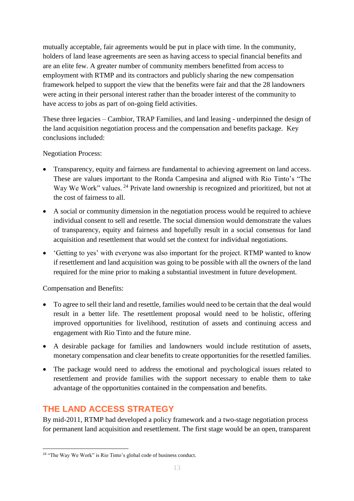mutually acceptable, fair agreements would be put in place with time. In the community, holders of land lease agreements are seen as having access to special financial benefits and are an elite few. A greater number of community members benefitted from access to employment with RTMP and its contractors and publicly sharing the new compensation framework helped to support the view that the benefits were fair and that the 28 landowners were acting in their personal interest rather than the broader interest of the community to have access to jobs as part of on-going field activities.

These three legacies – Cambior, TRAP Families, and land leasing - underpinned the design of the land acquisition negotiation process and the compensation and benefits package. Key conclusions included:

Negotiation Process:

- Transparency, equity and fairness are fundamental to achieving agreement on land access. These are values important to the Ronda Campesina and aligned with Rio Tinto's "The Way We Work" values. <sup>24</sup> Private land ownership is recognized and prioritized, but not at the cost of fairness to all.
- A social or community dimension in the negotiation process would be required to achieve individual consent to sell and resettle. The social dimension would demonstrate the values of transparency, equity and fairness and hopefully result in a social consensus for land acquisition and resettlement that would set the context for individual negotiations.
- 'Getting to yes' with everyone was also important for the project. RTMP wanted to know if resettlement and land acquisition was going to be possible with all the owners of the land required for the mine prior to making a substantial investment in future development.

Compensation and Benefits:

- To agree to sell their land and resettle, families would need to be certain that the deal would result in a better life. The resettlement proposal would need to be holistic, offering improved opportunities for livelihood, restitution of assets and continuing access and engagement with Rio Tinto and the future mine.
- A desirable package for families and landowners would include restitution of assets, monetary compensation and clear benefits to create opportunities for the resettled families.
- The package would need to address the emotional and psychological issues related to resettlement and provide families with the support necessary to enable them to take advantage of the opportunities contained in the compensation and benefits.

# **THE LAND ACCESS STRATEGY**

By mid-2011, RTMP had developed a policy framework and a two-stage negotiation process for permanent land acquisition and resettlement. The first stage would be an open, transparent

<sup>1</sup> <sup>24</sup> "The Way We Work" is Rio Tinto's global code of business conduct.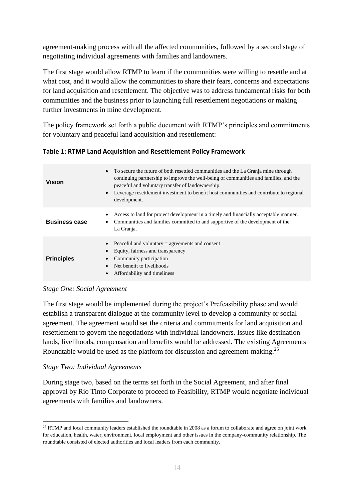agreement-making process with all the affected communities, followed by a second stage of negotiating individual agreements with families and landowners.

The first stage would allow RTMP to learn if the communities were willing to resettle and at what cost, and it would allow the communities to share their fears, concerns and expectations for land acquisition and resettlement. The objective was to address fundamental risks for both communities and the business prior to launching full resettlement negotiations or making further investments in mine development.

The policy framework set forth a public document with RTMP's principles and commitments for voluntary and peaceful land acquisition and resettlement:

**Table 1: RTMP Land Acquisition and Resettlement Policy Framework**

| <b>Vision</b>        | To secure the future of both resettled communities and the La Granja mine through<br>continuing partnership to improve the well-being of communities and families, and the<br>peaceful and voluntary transfer of landownership.<br>Leverage resettlement investment to benefit host communities and contribute to regional<br>development. |
|----------------------|--------------------------------------------------------------------------------------------------------------------------------------------------------------------------------------------------------------------------------------------------------------------------------------------------------------------------------------------|
| <b>Business case</b> | Access to land for project development in a timely and financially acceptable manner.<br>Communities and families committed to and supportive of the development of the<br>La Granja.                                                                                                                                                      |
| <b>Principles</b>    | Peaceful and voluntary $=$ agreements and consent<br>Equity, fairness and transparency<br>Community participation<br>Net benefit to livelihoods<br>Affordability and timeliness                                                                                                                                                            |

#### *Stage One: Social Agreement*

The first stage would be implemented during the project's Prefeasibility phase and would establish a transparent dialogue at the community level to develop a community or social agreement. The agreement would set the criteria and commitments for land acquisition and resettlement to govern the negotiations with individual landowners. Issues like destination lands, livelihoods, compensation and benefits would be addressed. The existing Agreements Roundtable would be used as the platform for discussion and agreement-making.<sup>25</sup>

#### *Stage Two: Individual Agreements*

During stage two, based on the terms set forth in the Social Agreement, and after final approval by Rio Tinto Corporate to proceed to Feasibility, RTMP would negotiate individual agreements with families and landowners.

<sup>1</sup>  $25$  RTMP and local community leaders established the roundtable in 2008 as a forum to collaborate and agree on joint work for education, health, water, environment, local employment and other issues in the company-community relationship. The roundtable consisted of elected authorities and local leaders from each community.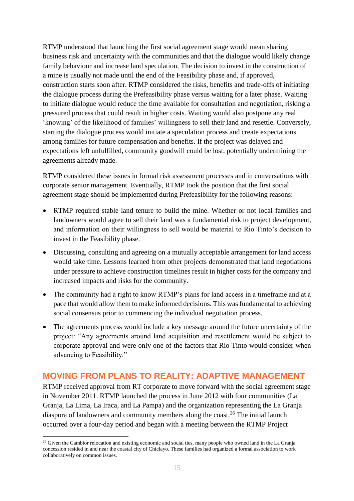RTMP understood that launching the first social agreement stage would mean sharing business risk and uncertainty with the communities and that the dialogue would likely change family behaviour and increase land speculation. The decision to invest in the construction of a mine is usually not made until the end of the Feasibility phase and, if approved, construction starts soon after. RTMP considered the risks, benefits and trade-offs of initiating the dialogue process during the Prefeasibility phase versus waiting for a later phase. Waiting to initiate dialogue would reduce the time available for consultation and negotiation, risking a pressured process that could result in higher costs. Waiting would also postpone any real 'knowing' of the likelihood of families' willingness to sell their land and resettle. Conversely, starting the dialogue process would initiate a speculation process and create expectations among families for future compensation and benefits. If the project was delayed and expectations left unfulfilled, community goodwill could be lost, potentially undermining the agreements already made.

RTMP considered these issues in formal risk assessment processes and in conversations with corporate senior management. Eventually, RTMP took the position that the first social agreement stage should be implemented during Prefeasibility for the following reasons:

- RTMP required stable land tenure to build the mine. Whether or not local families and landowners would agree to sell their land was a fundamental risk to project development, and information on their willingness to sell would be material to Rio Tinto's decision to invest in the Feasibility phase.
- Discussing, consulting and agreeing on a mutually acceptable arrangement for land access would take time. Lessons learned from other projects demonstrated that land negotiations under pressure to achieve construction timelines result in higher costs for the company and increased impacts and risks for the community.
- The community had a right to know RTMP's plans for land access in a timeframe and at a pace that would allow them to make informed decisions. This was fundamental to achieving social consensus prior to commencing the individual negotiation process.
- The agreements process would include a key message around the future uncertainty of the project: "Any agreements around land acquisition and resettlement would be subject to corporate approval and were only one of the factors that Rio Tinto would consider when advancing to Feasibility."

## **MOVING FROM PLANS TO REALITY: ADAPTIVE MANAGEMENT**

RTMP received approval from RT corporate to move forward with the social agreement stage in November 2011. RTMP launched the process in June 2012 with four communities (La Granja, La Lima, La Iraca, and La Pampa) and the organization representing the La Granja diaspora of landowners and community members along the coast.<sup>26</sup> The initial launch occurred over a four-day period and began with a meeting between the RTMP Project

<sup>&</sup>lt;sup>26</sup> Given the Cambior relocation and existing economic and social ties, many people who owned land in the La Granja concession resided in and near the coastal city of Chiclayo. These families had organized a formal association to work collaboratively on common issues.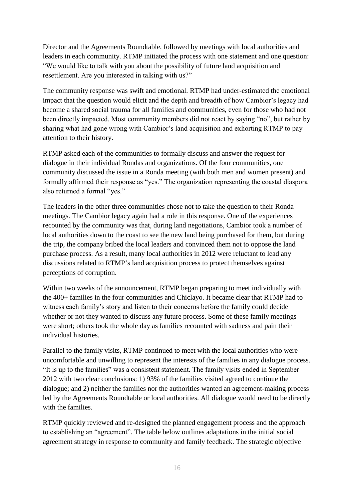Director and the Agreements Roundtable, followed by meetings with local authorities and leaders in each community. RTMP initiated the process with one statement and one question: "We would like to talk with you about the possibility of future land acquisition and resettlement. Are you interested in talking with us?"

The community response was swift and emotional. RTMP had under-estimated the emotional impact that the question would elicit and the depth and breadth of how Cambior's legacy had become a shared social trauma for all families and communities, even for those who had not been directly impacted. Most community members did not react by saying "no", but rather by sharing what had gone wrong with Cambior's land acquisition and exhorting RTMP to pay attention to their history.

RTMP asked each of the communities to formally discuss and answer the request for dialogue in their individual Rondas and organizations. Of the four communities, one community discussed the issue in a Ronda meeting (with both men and women present) and formally affirmed their response as "yes." The organization representing the coastal diaspora also returned a formal "yes."

The leaders in the other three communities chose not to take the question to their Ronda meetings. The Cambior legacy again had a role in this response. One of the experiences recounted by the community was that, during land negotiations, Cambior took a number of local authorities down to the coast to see the new land being purchased for them, but during the trip, the company bribed the local leaders and convinced them not to oppose the land purchase process. As a result, many local authorities in 2012 were reluctant to lead any discussions related to RTMP's land acquisition process to protect themselves against perceptions of corruption.

Within two weeks of the announcement, RTMP began preparing to meet individually with the 400+ families in the four communities and Chiclayo. It became clear that RTMP had to witness each family's story and listen to their concerns before the family could decide whether or not they wanted to discuss any future process. Some of these family meetings were short; others took the whole day as families recounted with sadness and pain their individual histories.

Parallel to the family visits, RTMP continued to meet with the local authorities who were uncomfortable and unwilling to represent the interests of the families in any dialogue process. "It is up to the families" was a consistent statement. The family visits ended in September 2012 with two clear conclusions: 1) 93% of the families visited agreed to continue the dialogue; and 2) neither the families nor the authorities wanted an agreement-making process led by the Agreements Roundtable or local authorities. All dialogue would need to be directly with the families.

RTMP quickly reviewed and re-designed the planned engagement process and the approach to establishing an "agreement". The table below outlines adaptations in the initial social agreement strategy in response to community and family feedback. The strategic objective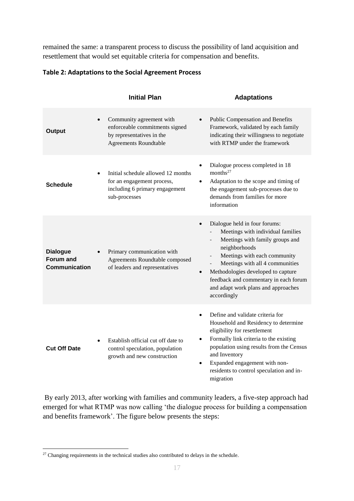remained the same: a transparent process to discuss the possibility of land acquisition and resettlement that would set equitable criteria for compensation and benefits.

|                                                      | <b>Initial Plan</b>                                                                                                                  | <b>Adaptations</b>                                                                                                                                                                                                                                                                                                                                                                                               |
|------------------------------------------------------|--------------------------------------------------------------------------------------------------------------------------------------|------------------------------------------------------------------------------------------------------------------------------------------------------------------------------------------------------------------------------------------------------------------------------------------------------------------------------------------------------------------------------------------------------------------|
| Output                                               | Community agreement with<br>$\bullet$<br>enforceable commitments signed<br>by representatives in the<br><b>Agreements Roundtable</b> | Public Compensation and Benefits<br>$\bullet$<br>Framework, validated by each family<br>indicating their willingness to negotiate<br>with RTMP under the framework                                                                                                                                                                                                                                               |
| <b>Schedule</b>                                      | Initial schedule allowed 12 months<br>$\bullet$<br>for an engagement process,<br>including 6 primary engagement<br>sub-processes     | Dialogue process completed in 18<br>$\bullet$<br>months $27$<br>Adaptation to the scope and timing of<br>$\bullet$<br>the engagement sub-processes due to<br>demands from families for more<br>information                                                                                                                                                                                                       |
| <b>Dialogue</b><br>Forum and<br><b>Communication</b> | Primary communication with<br>Agreements Roundtable composed<br>of leaders and representatives                                       | Dialogue held in four forums:<br>$\bullet$<br>Meetings with individual families<br>Meetings with family groups and<br>neighborhoods<br>Meetings with each community<br>$\overline{\phantom{a}}$<br>Meetings with all 4 communities<br>$\overline{\phantom{a}}$<br>Methodologies developed to capture<br>$\bullet$<br>feedback and commentary in each forum<br>and adapt work plans and approaches<br>accordingly |
| <b>Cut Off Date</b>                                  | Establish official cut off date to<br>control speculation, population<br>growth and new construction                                 | Define and validate criteria for<br>$\bullet$<br>Household and Residency to determine<br>eligibility for resettlement<br>Formally link criteria to the existing<br>$\bullet$<br>population using results from the Census<br>and Inventory<br>Expanded engagement with non-<br>$\bullet$<br>residents to control speculation and in-<br>migration                                                                 |

#### **Table 2: Adaptations to the Social Agreement Process**

By early 2013, after working with families and community leaders, a five-step approach had emerged for what RTMP was now calling 'the dialogue process for building a compensation and benefits framework'. The figure below presents the steps:

 $27$  Changing requirements in the technical studies also contributed to delays in the schedule.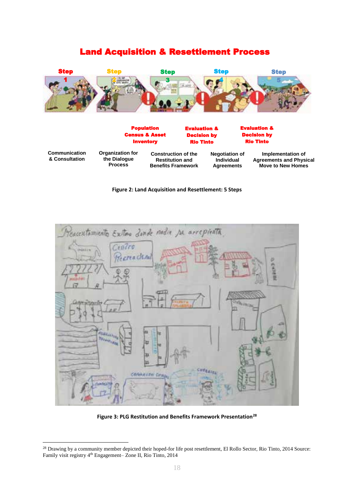### Land Acquisition & Resettlement Process



Population Census & Asset Inventory Evaluation & Decision by Rio Tinto Evaluation & Decision by Rio Tinto **Communication & Consultation Organization for the Dialogue Process Construction of the Restitution and Benefits Framework Negotiation of Individual Agreements Implementation of Agreements and Physical Move to New Homes**

#### **Figure 2: Land Acquisition and Resettlement: 5 Steps**



**Figure 3: PLG Restitution and Benefits Framework Presentation<sup>28</sup>**

<sup>&</sup>lt;u>.</u> <sup>28</sup> Drawing by a community member depicted their hoped-for life post resettlement, El Rollo Sector, Rio Tinto, 2014 Source: Family visit registry 4<sup>th</sup> Engagement– Zone II, Rio Tinto, 2014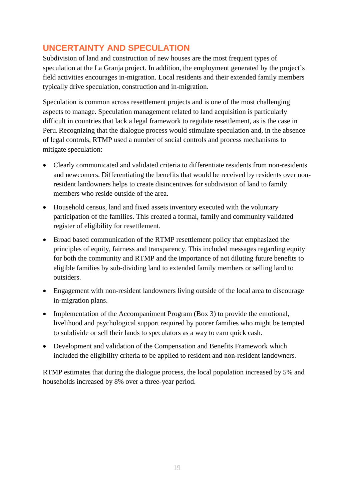# **UNCERTAINTY AND SPECULATION**

Subdivision of land and construction of new houses are the most frequent types of speculation at the La Granja project. In addition, the employment generated by the project's field activities encourages in-migration. Local residents and their extended family members typically drive speculation, construction and in-migration.

Speculation is common across resettlement projects and is one of the most challenging aspects to manage. Speculation management related to land acquisition is particularly difficult in countries that lack a legal framework to regulate resettlement, as is the case in Peru. Recognizing that the dialogue process would stimulate speculation and, in the absence of legal controls, RTMP used a number of social controls and process mechanisms to mitigate speculation:

- Clearly communicated and validated criteria to differentiate residents from non-residents and newcomers. Differentiating the benefits that would be received by residents over nonresident landowners helps to create disincentives for subdivision of land to family members who reside outside of the area.
- Household census, land and fixed assets inventory executed with the voluntary participation of the families. This created a formal, family and community validated register of eligibility for resettlement.
- Broad based communication of the RTMP resettlement policy that emphasized the principles of equity, fairness and transparency. This included messages regarding equity for both the community and RTMP and the importance of not diluting future benefits to eligible families by sub-dividing land to extended family members or selling land to outsiders.
- Engagement with non-resident landowners living outside of the local area to discourage in-migration plans.
- Implementation of the Accompaniment Program (Box 3) to provide the emotional, livelihood and psychological support required by poorer families who might be tempted to subdivide or sell their lands to speculators as a way to earn quick cash.
- Development and validation of the Compensation and Benefits Framework which included the eligibility criteria to be applied to resident and non-resident landowners.

RTMP estimates that during the dialogue process, the local population increased by 5% and households increased by 8% over a three-year period.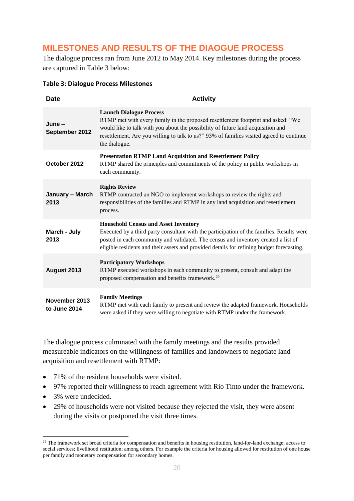# **MILESTONES AND RESULTS OF THE DIAOGUE PROCESS**

The dialogue process ran from June 2012 to May 2014. Key milestones during the process are captured in Table 3 below:

| <b>Date</b>                   | <b>Activity</b>                                                                                                                                                                                                                                                                                                             |
|-------------------------------|-----------------------------------------------------------------------------------------------------------------------------------------------------------------------------------------------------------------------------------------------------------------------------------------------------------------------------|
| $June -$<br>September 2012    | <b>Launch Dialogue Process</b><br>RTMP met with every family in the proposed resettlement footprint and asked: "We<br>would like to talk with you about the possibility of future land acquisition and<br>resettlement. Are you willing to talk to us?" 93% of families visited agreed to continue<br>the dialogue.         |
| October 2012                  | <b>Presentation RTMP Land Acquisition and Resettlement Policy</b><br>RTMP shared the principles and commitments of the policy in public workshops in<br>each community.                                                                                                                                                     |
| January - March<br>2013       | <b>Rights Review</b><br>RTMP contracted an NGO to implement workshops to review the rights and<br>responsibilities of the families and RTMP in any land acquisition and resettlement<br>process.                                                                                                                            |
| March - July<br>2013          | <b>Household Census and Asset Inventory</b><br>Executed by a third party consultant with the participation of the families. Results were<br>posted in each community and validated. The census and inventory created a list of<br>eligible residents and their assets and provided details for refining budget forecasting. |
| August 2013                   | <b>Participatory Workshops</b><br>RTMP executed workshops in each community to present, consult and adapt the<br>proposed compensation and benefits framework. <sup>29</sup>                                                                                                                                                |
| November 2013<br>to June 2014 | <b>Family Meetings</b><br>RTMP met with each family to present and review the adapted framework. Households<br>were asked if they were willing to negotiate with RTMP under the framework.                                                                                                                                  |

#### **Table 3: Dialogue Process Milestones**

The dialogue process culminated with the family meetings and the results provided measureable indicators on the willingness of families and landowners to negotiate land acquisition and resettlement with RTMP:

- 71% of the resident households were visited.
- 97% reported their willingness to reach agreement with Rio Tinto under the framework.
- 3% were undecided.

1

• 29% of households were not visited because they rejected the visit, they were absent during the visits or postponed the visit three times.

<sup>&</sup>lt;sup>29</sup> The framework set broad criteria for compensation and benefits in housing restitution, land-for-land exchange; access to social services; livelihood restitution; among others. For example the criteria for housing allowed for restitution of one house per family and monetary compensation for secondary homes.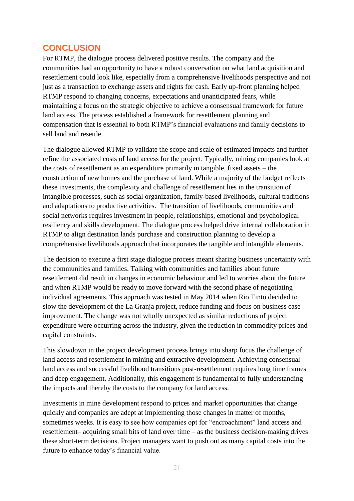### **CONCLUSION**

For RTMP, the dialogue process delivered positive results. The company and the communities had an opportunity to have a robust conversation on what land acquisition and resettlement could look like, especially from a comprehensive livelihoods perspective and not just as a transaction to exchange assets and rights for cash. Early up-front planning helped RTMP respond to changing concerns, expectations and unanticipated fears, while maintaining a focus on the strategic objective to achieve a consensual framework for future land access. The process established a framework for resettlement planning and compensation that is essential to both RTMP's financial evaluations and family decisions to sell land and resettle.

The dialogue allowed RTMP to validate the scope and scale of estimated impacts and further refine the associated costs of land access for the project. Typically, mining companies look at the costs of resettlement as an expenditure primarily in tangible, fixed assets – the construction of new homes and the purchase of land. While a majority of the budget reflects these investments, the complexity and challenge of resettlement lies in the transition of intangible processes, such as social organization, family-based livelihoods, cultural traditions and adaptations to productive activities. The transition of livelihoods, communities and social networks requires investment in people, relationships, emotional and psychological resiliency and skills development. The dialogue process helped drive internal collaboration in RTMP to align destination lands purchase and construction planning to develop a comprehensive livelihoods approach that incorporates the tangible and intangible elements.

The decision to execute a first stage dialogue process meant sharing business uncertainty with the communities and families. Talking with communities and families about future resettlement did result in changes in economic behaviour and led to worries about the future and when RTMP would be ready to move forward with the second phase of negotiating individual agreements. This approach was tested in May 2014 when Rio Tinto decided to slow the development of the La Granja project, reduce funding and focus on business case improvement. The change was not wholly unexpected as similar reductions of project expenditure were occurring across the industry, given the reduction in commodity prices and capital constraints.

This slowdown in the project development process brings into sharp focus the challenge of land access and resettlement in mining and extractive development. Achieving consensual land access and successful livelihood transitions post-resettlement requires long time frames and deep engagement. Additionally, this engagement is fundamental to fully understanding the impacts and thereby the costs to the company for land access.

Investments in mine development respond to prices and market opportunities that change quickly and companies are adept at implementing those changes in matter of months, sometimes weeks. It is easy to see how companies opt for "encroachment" land access and resettlement– acquiring small bits of land over time – as the business decision-making drives these short-term decisions. Project managers want to push out as many capital costs into the future to enhance today's financial value.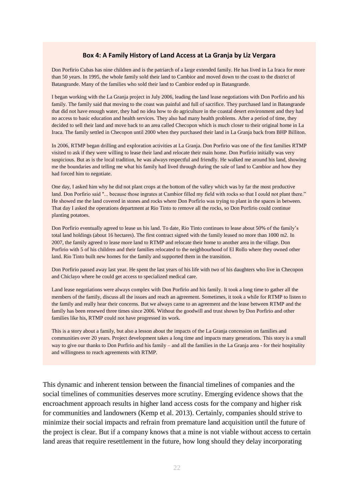#### **Box 4: A Family History of Land Access at La Granja by Liz Vergara**

Don Porfirio Cubas has nine children and is the patriarch of a large extended family. He has lived in La Iraca for more than 50 years. In 1995, the whole family sold their land to Cambior and moved down to the coast to the district of Batangrande. Many of the families who sold their land to Cambior ended up in Batangrande.

I began working with the La Granja project in July 2006, leading the land lease negotiations with Don Porfirio and his family. The family said that moving to the coast was painful and full of sacrifice. They purchased land in Batangrande that did not have enough water, they had no idea how to do agriculture in the coastal desert environment and they had no access to basic education and health services. They also had many health problems. After a period of time, they decided to sell their land and move back to an area called Checopon which is much closer to their original home in La Iraca. The family settled in Checopon until 2000 when they purchased their land in La Granja back from BHP Billiton.

In 2006, RTMP began drilling and exploration activities at La Granja. Don Porfirio was one of the first families RTMP visited to ask if they were willing to lease their land and relocate their main home. Don Porfirio initially was very suspicious. But as is the local tradition, he was always respectful and friendly. He walked me around his land, showing me the boundaries and telling me what his family had lived through during the sale of land to Cambior and how they had forced him to negotiate.

One day, I asked him why he did not plant crops at the bottom of the valley which was by far the most productive land. Don Porfirio said "... because those ingrates at Cambior filled my field with rocks so that I could not plant there." He showed me the land covered in stones and rocks where Don Porfirio was trying to plant in the spaces in between. That day I asked the operations department at Rio Tinto to remove all the rocks, so Don Porfirio could continue planting potatoes.

Don Porfirio eventually agreed to lease us his land. To date, Rio Tinto continues to lease about 50% of the family's total land holdings (about 16 hectares). The first contract signed with the family leased no more than 1000 m2. In 2007, the family agreed to lease more land to RTMP and relocate their home to another area in the village. Don Porfirio with 5 of his children and their families relocated to the neighbourhood of El Rollo where they owned other land. Rio Tinto built new homes for the family and supported them in the transition.

Don Porfirio passed away last year. He spent the last years of his life with two of his daughters who live in Checopon and Chiclayo where he could get access to specialized medical care.

Land lease negotiations were always complex with Don Porfirio and his family. It took a long time to gather all the members of the family, discuss all the issues and reach an agreement. Sometimes, it took a while for RTMP to listen to the family and really hear their concerns. But we always came to an agreement and the lease between RTMP and the family has been renewed three times since 2006. Without the goodwill and trust shown by Don Porfirio and other families like his, RTMP could not have progressed its work.

This is a story about a family, but also a lesson about the impacts of the La Granja concession on families and communities over 20 years. Project development takes a long time and impacts many generations. This story is a small way to give our thanks to Don Porfirio and his family – and all the families in the La Granja area - for their hospitality and willingness to reach agreements with RTMP.

This dynamic and inherent tension between the financial timelines of companies and the social timelines of communities deserves more scrutiny. Emerging evidence shows that the encroachment approach results in higher land access costs for the company and higher risk for communities and landowners (Kemp et al. 2013). Certainly, companies should strive to minimize their social impacts and refrain from premature land acquisition until the future of the project is clear. But if a company knows that a mine is not viable without access to certain land areas that require resettlement in the future, how long should they delay incorporating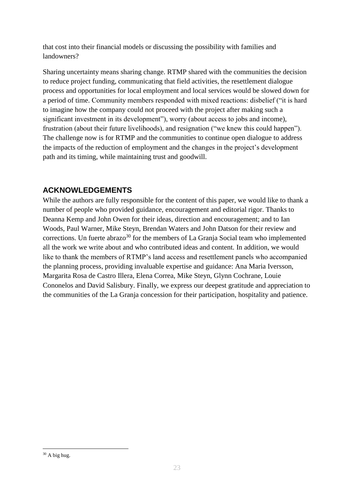that cost into their financial models or discussing the possibility with families and landowners?

Sharing uncertainty means sharing change. RTMP shared with the communities the decision to reduce project funding, communicating that field activities, the resettlement dialogue process and opportunities for local employment and local services would be slowed down for a period of time. Community members responded with mixed reactions: disbelief ("it is hard to imagine how the company could not proceed with the project after making such a significant investment in its development"), worry (about access to jobs and income), frustration (about their future livelihoods), and resignation ("we knew this could happen"). The challenge now is for RTMP and the communities to continue open dialogue to address the impacts of the reduction of employment and the changes in the project's development path and its timing, while maintaining trust and goodwill.

#### **ACKNOWLEDGEMENTS**

While the authors are fully responsible for the content of this paper, we would like to thank a number of people who provided guidance, encouragement and editorial rigor. Thanks to Deanna Kemp and John Owen for their ideas, direction and encouragement; and to Ian Woods, Paul Warner, Mike Steyn, Brendan Waters and John Datson for their review and corrections. Un fuerte abrazo<sup>30</sup> for the members of La Granja Social team who implemented all the work we write about and who contributed ideas and content. In addition, we would like to thank the members of RTMP's land access and resettlement panels who accompanied the planning process, providing invaluable expertise and guidance: Ana Maria Iversson, Margarita Rosa de Castro Illera, Elena Correa, Mike Steyn, Glynn Cochrane, Louie Cononelos and David Salisbury. Finally, we express our deepest gratitude and appreciation to the communities of the La Granja concession for their participation, hospitality and patience.

 $30$  A big hug.